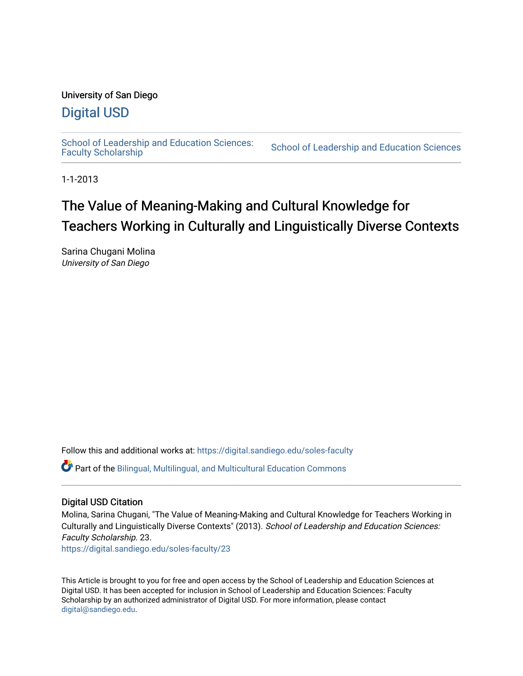# University of San Diego

# [Digital USD](https://digital.sandiego.edu/)

School of Leadership and Education Sciences:<br>Faculty Scholarship

School of Leadership and Education Sciences

1-1-2013

# The Value of Meaning-Making and Cultural Knowledge for Teachers Working in Culturally and Linguistically Diverse Contexts

Sarina Chugani Molina University of San Diego

Follow this and additional works at: [https://digital.sandiego.edu/soles-faculty](https://digital.sandiego.edu/soles-faculty?utm_source=digital.sandiego.edu%2Fsoles-faculty%2F23&utm_medium=PDF&utm_campaign=PDFCoverPages) 

Part of the [Bilingual, Multilingual, and Multicultural Education Commons](https://network.bepress.com/hgg/discipline/785?utm_source=digital.sandiego.edu%2Fsoles-faculty%2F23&utm_medium=PDF&utm_campaign=PDFCoverPages) 

# Digital USD Citation

Molina, Sarina Chugani, "The Value of Meaning-Making and Cultural Knowledge for Teachers Working in Culturally and Linguistically Diverse Contexts" (2013). School of Leadership and Education Sciences: Faculty Scholarship. 23.

[https://digital.sandiego.edu/soles-faculty/23](https://digital.sandiego.edu/soles-faculty/23?utm_source=digital.sandiego.edu%2Fsoles-faculty%2F23&utm_medium=PDF&utm_campaign=PDFCoverPages) 

This Article is brought to you for free and open access by the School of Leadership and Education Sciences at Digital USD. It has been accepted for inclusion in School of Leadership and Education Sciences: Faculty Scholarship by an authorized administrator of Digital USD. For more information, please contact [digital@sandiego.edu](mailto:digital@sandiego.edu).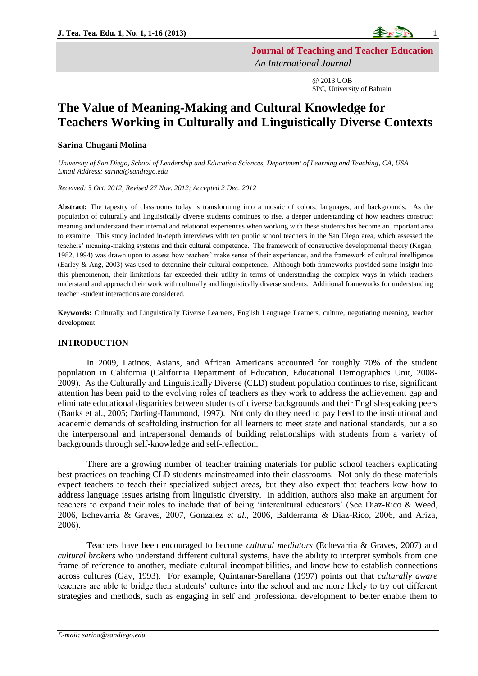

**Journal of Teaching and Teacher Education**

*An International Journal*

@ 2013 UOB SPC, University of Bahrain

# **The Value of Meaning-Making and Cultural Knowledge for Teachers Working in Culturally and Linguistically Diverse Contexts**

# **Sarina Chugani Molina**

*University of San Diego, School of Leadership and Education Sciences, Department of Learning and Teaching, CA, USA Email Address: sarina@sandiego.edu*

*Received: 3 Oct. 2012, Revised 27 Nov. 2012; Accepted 2 Dec. 2012*

**Abstract:** The tapestry of classrooms today is transforming into a mosaic of colors, languages, and backgrounds. As the population of culturally and linguistically diverse students continues to rise, a deeper understanding of how teachers construct meaning and understand their internal and relational experiences when working with these students has become an important area to examine. This study included in-depth interviews with ten public school teachers in the San Diego area, which assessed the teachers' meaning-making systems and their cultural competence. The framework of constructive developmental theory (Kegan, 1982, 1994) was drawn upon to assess how teachers' make sense of their experiences, and the framework of cultural intelligence (Earley & Ang, 2003) was used to determine their cultural competence. Although both frameworks provided some insight into this phenomenon, their limitations far exceeded their utility in terms of understanding the complex ways in which teachers understand and approach their work with culturally and linguistically diverse students. Additional frameworks for understanding teacher -student interactions are considered.

**Keywords:** Culturally and Linguistically Diverse Learners, English Language Learners, culture, negotiating meaning, teacher development

# **INTRODUCTION**

In 2009, Latinos, Asians, and African Americans accounted for roughly 70% of the student population in California (California Department of Education, Educational Demographics Unit, 2008- 2009). As the Culturally and Linguistically Diverse (CLD) student population continues to rise, significant attention has been paid to the evolving roles of teachers as they work to address the achievement gap and eliminate educational disparities between students of diverse backgrounds and their English-speaking peers (Banks et al., 2005; Darling-Hammond, 1997). Not only do they need to pay heed to the institutional and academic demands of scaffolding instruction for all learners to meet state and national standards, but also the interpersonal and intrapersonal demands of building relationships with students from a variety of backgrounds through self-knowledge and self-reflection.

There are a growing number of teacher training materials for public school teachers explicating best practices on teaching CLD students mainstreamed into their classrooms. Not only do these materials expect teachers to teach their specialized subject areas, but they also expect that teachers kow how to address language issues arising from linguistic diversity. In addition, authors also make an argument for teachers to expand their roles to include that of being 'intercultural educators' (See Diaz-Rico & Weed, 2006, Echevarria & Graves, 2007, Gonzalez *et al*., 2006, Balderrama & Diaz-Rico, 2006, and Ariza, 2006).

Teachers have been encouraged to become *cultural mediators* (Echevarria & Graves, 2007) and *cultural brokers* who understand different cultural systems, have the ability to interpret symbols from one frame of reference to another, mediate cultural incompatibilities, and know how to establish connections across cultures (Gay, 1993). For example, Quintanar-Sarellana (1997) points out that *culturally aware* teachers are able to bridge their students' cultures into the school and are more likely to try out different strategies and methods, such as engaging in self and professional development to better enable them to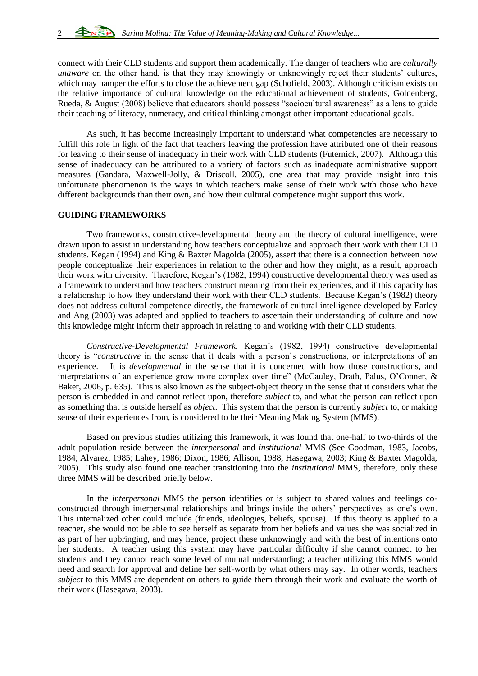connect with their CLD students and support them academically. The danger of teachers who are *culturally unaware* on the other hand, is that they may knowingly or unknowingly reject their students' cultures, which may hamper the efforts to close the achievement gap (Schofield, 2003). Although criticism exists on the relative importance of cultural knowledge on the educational achievement of students, Goldenberg, Rueda, & August (2008) believe that educators should possess "sociocultural awareness" as a lens to guide their teaching of literacy, numeracy, and critical thinking amongst other important educational goals.

As such, it has become increasingly important to understand what competencies are necessary to fulfill this role in light of the fact that teachers leaving the profession have attributed one of their reasons for leaving to their sense of inadequacy in their work with CLD students (Futernick, 2007). Although this sense of inadequacy can be attributed to a variety of factors such as inadequate administrative support measures (Gandara, Maxwell-Jolly, & Driscoll, 2005), one area that may provide insight into this unfortunate phenomenon is the ways in which teachers make sense of their work with those who have different backgrounds than their own, and how their cultural competence might support this work.

# **GUIDING FRAMEWORKS**

Two frameworks, constructive-developmental theory and the theory of cultural intelligence, were drawn upon to assist in understanding how teachers conceptualize and approach their work with their CLD students. Kegan (1994) and King & Baxter Magolda (2005), assert that there is a connection between how people conceptualize their experiences in relation to the other and how they might, as a result, approach their work with diversity. Therefore, Kegan's (1982, 1994) constructive developmental theory was used as a framework to understand how teachers construct meaning from their experiences, and if this capacity has a relationship to how they understand their work with their CLD students. Because Kegan's (1982) theory does not address cultural competence directly, the framework of cultural intelligence developed by Earley and Ang (2003) was adapted and applied to teachers to ascertain their understanding of culture and how this knowledge might inform their approach in relating to and working with their CLD students.

*Constructive-Developmental Framework.* Kegan's (1982, 1994) constructive developmental theory is "*constructive* in the sense that it deals with a person's constructions, or interpretations of an experience. It is *developmental* in the sense that it is concerned with how those constructions, and interpretations of an experience grow more complex over time" (McCauley, Drath, Palus, O'Conner, & Baker, 2006, p. 635). This is also known as the subject-object theory in the sense that it considers what the person is embedded in and cannot reflect upon, therefore *subject* to, and what the person can reflect upon as something that is outside herself as *object*. This system that the person is currently *subject* to, or making sense of their experiences from, is considered to be their Meaning Making System (MMS).

Based on previous studies utilizing this framework, it was found that one-half to two-thirds of the adult population reside between the *interpersonal* and *institutional* MMS (See Goodman, 1983, Jacobs, 1984; Alvarez, 1985; Lahey, 1986; Dixon, 1986; Allison, 1988; Hasegawa, 2003; King & Baxter Magolda, 2005). This study also found one teacher transitioning into the *institutional* MMS, therefore, only these three MMS will be described briefly below.

In the *interpersonal* MMS the person identifies or is subject to shared values and feelings coconstructed through interpersonal relationships and brings inside the others' perspectives as one's own. This internalized other could include (friends, ideologies, beliefs, spouse). If this theory is applied to a teacher, she would not be able to see herself as separate from her beliefs and values she was socialized in as part of her upbringing, and may hence, project these unknowingly and with the best of intentions onto her students. A teacher using this system may have particular difficulty if she cannot connect to her students and they cannot reach some level of mutual understanding; a teacher utilizing this MMS would need and search for approval and define her self-worth by what others may say. In other words, teachers *subject* to this MMS are dependent on others to guide them through their work and evaluate the worth of their work (Hasegawa, 2003).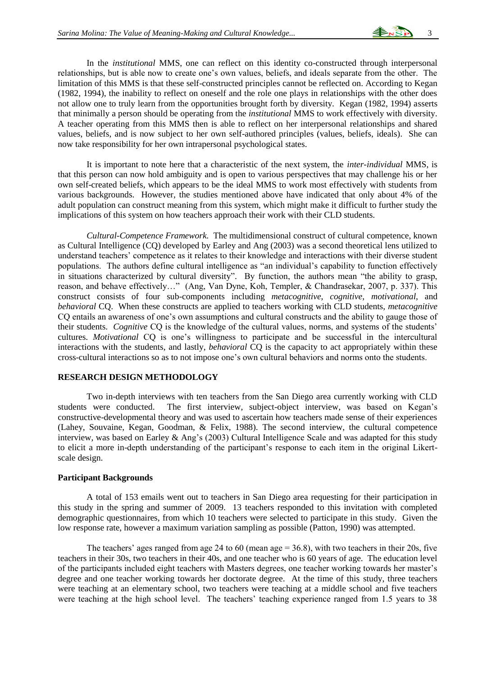In the *institutional* MMS, one can reflect on this identity co-constructed through interpersonal relationships, but is able now to create one's own values, beliefs, and ideals separate from the other. The limitation of this MMS is that these self-constructed principles cannot be reflected on. According to Kegan (1982, 1994), the inability to reflect on oneself and the role one plays in relationships with the other does not allow one to truly learn from the opportunities brought forth by diversity. Kegan (1982, 1994) asserts that minimally a person should be operating from the *institutional* MMS to work effectively with diversity. A teacher operating from this MMS then is able to reflect on her interpersonal relationships and shared values, beliefs, and is now subject to her own self-authored principles (values, beliefs, ideals). She can now take responsibility for her own intrapersonal psychological states.

It is important to note here that a characteristic of the next system, the *inter-individual* MMS, is that this person can now hold ambiguity and is open to various perspectives that may challenge his or her own self-created beliefs, which appears to be the ideal MMS to work most effectively with students from various backgrounds. However, the studies mentioned above have indicated that only about 4% of the adult population can construct meaning from this system, which might make it difficult to further study the implications of this system on how teachers approach their work with their CLD students.

*Cultural-Competence Framework.* The multidimensional construct of cultural competence, known as Cultural Intelligence (CQ) developed by Earley and Ang (2003) was a second theoretical lens utilized to understand teachers' competence as it relates to their knowledge and interactions with their diverse student populations. The authors define cultural intelligence as "an individual's capability to function effectively in situations characterized by cultural diversity". By function, the authors mean "the ability to grasp, reason, and behave effectively…" (Ang, Van Dyne, Koh, Templer, & Chandrasekar, 2007, p. 337). This construct consists of four sub-components including *metacognitive*, *cognitive*, *motivational*, and *behavioral* CQ. When these constructs are applied to teachers working with CLD students, *metacognitive*  CQ entails an awareness of one's own assumptions and cultural constructs and the ability to gauge those of their students. *Cognitive* CQ is the knowledge of the cultural values, norms, and systems of the students' cultures. *Motivational* CQ is one's willingness to participate and be successful in the intercultural interactions with the students, and lastly, *behavioral* CQ is the capacity to act appropriately within these cross-cultural interactions so as to not impose one's own cultural behaviors and norms onto the students.

# **RESEARCH DESIGN METHODOLOGY**

Two in-depth interviews with ten teachers from the San Diego area currently working with CLD students were conducted. The first interview, subject-object interview, was based on Kegan's constructive-developmental theory and was used to ascertain how teachers made sense of their experiences (Lahey, Souvaine, Kegan, Goodman, & Felix, 1988). The second interview, the cultural competence interview, was based on Earley & Ang's (2003) Cultural Intelligence Scale and was adapted for this study to elicit a more in-depth understanding of the participant's response to each item in the original Likertscale design.

# **Participant Backgrounds**

A total of 153 emails went out to teachers in San Diego area requesting for their participation in this study in the spring and summer of 2009. 13 teachers responded to this invitation with completed demographic questionnaires, from which 10 teachers were selected to participate in this study. Given the low response rate, however a maximum variation sampling as possible (Patton, 1990) was attempted.

The teachers' ages ranged from age 24 to 60 (mean age = 36.8), with two teachers in their 20s, five teachers in their 30s, two teachers in their 40s, and one teacher who is 60 years of age. The education level of the participants included eight teachers with Masters degrees, one teacher working towards her master's degree and one teacher working towards her doctorate degree. At the time of this study, three teachers were teaching at an elementary school, two teachers were teaching at a middle school and five teachers were teaching at the high school level. The teachers' teaching experience ranged from 1.5 years to 38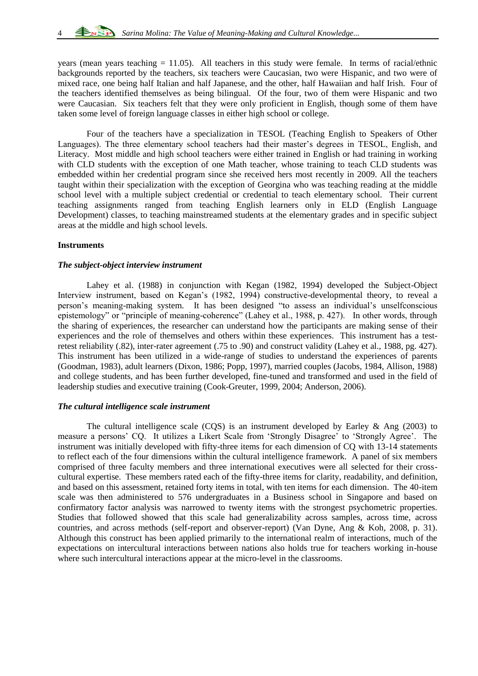years (mean years teaching  $= 11.05$ ). All teachers in this study were female. In terms of racial/ethnic backgrounds reported by the teachers, six teachers were Caucasian, two were Hispanic, and two were of mixed race, one being half Italian and half Japanese, and the other, half Hawaiian and half Irish. Four of the teachers identified themselves as being bilingual. Of the four, two of them were Hispanic and two were Caucasian. Six teachers felt that they were only proficient in English, though some of them have taken some level of foreign language classes in either high school or college.

Four of the teachers have a specialization in TESOL (Teaching English to Speakers of Other Languages). The three elementary school teachers had their master's degrees in TESOL, English, and Literacy. Most middle and high school teachers were either trained in English or had training in working with CLD students with the exception of one Math teacher, whose training to teach CLD students was embedded within her credential program since she received hers most recently in 2009. All the teachers taught within their specialization with the exception of Georgina who was teaching reading at the middle school level with a multiple subject credential or credential to teach elementary school. Their current teaching assignments ranged from teaching English learners only in ELD (English Language Development) classes, to teaching mainstreamed students at the elementary grades and in specific subject areas at the middle and high school levels.

# **Instruments**

# *The subject-object interview instrument*

Lahey et al. (1988) in conjunction with Kegan (1982, 1994) developed the Subject-Object Interview instrument, based on Kegan's (1982, 1994) constructive-developmental theory, to reveal a person's meaning-making system. It has been designed "to assess an individual's unselfconscious epistemology" or "principle of meaning-coherence" (Lahey et al., 1988, p. 427). In other words, through the sharing of experiences, the researcher can understand how the participants are making sense of their experiences and the role of themselves and others within these experiences. This instrument has a testretest reliability (.82), inter-rater agreement (.75 to .90) and construct validity (Lahey et al., 1988, pg. 427). This instrument has been utilized in a wide-range of studies to understand the experiences of parents (Goodman, 1983), adult learners (Dixon, 1986; Popp, 1997), married couples (Jacobs, 1984, Allison, 1988) and college students, and has been further developed, fine-tuned and transformed and used in the field of leadership studies and executive training (Cook-Greuter, 1999, 2004; Anderson, 2006).

# *The cultural intelligence scale instrument*

The cultural intelligence scale (COS) is an instrument developed by Earley & Ang (2003) to measure a persons' CQ. It utilizes a Likert Scale from 'Strongly Disagree' to 'Strongly Agree'. The instrument was initially developed with fifty-three items for each dimension of CQ with 13-14 statements to reflect each of the four dimensions within the cultural intelligence framework. A panel of six members comprised of three faculty members and three international executives were all selected for their crosscultural expertise. These members rated each of the fifty-three items for clarity, readability, and definition, and based on this assessment, retained forty items in total, with ten items for each dimension. The 40-item scale was then administered to 576 undergraduates in a Business school in Singapore and based on confirmatory factor analysis was narrowed to twenty items with the strongest psychometric properties. Studies that followed showed that this scale had generalizability across samples, across time, across countries, and across methods (self-report and observer-report) (Van Dyne, Ang & Koh, 2008, p. 31). Although this construct has been applied primarily to the international realm of interactions, much of the expectations on intercultural interactions between nations also holds true for teachers working in-house where such intercultural interactions appear at the micro-level in the classrooms.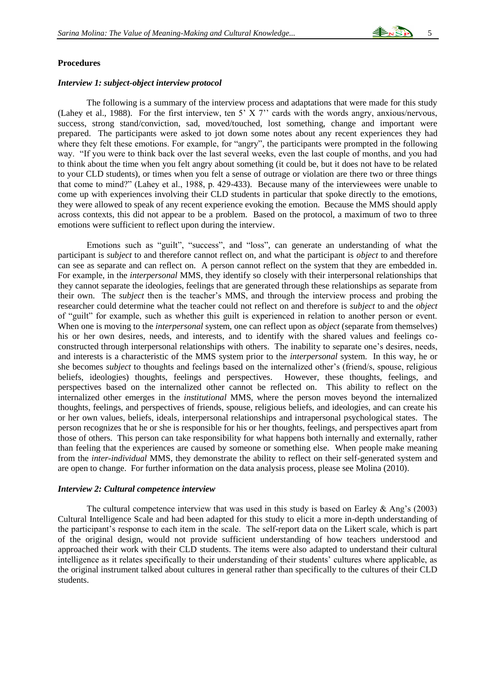# **Procedures**

#### *Interview 1: subject-object interview protocol*

The following is a summary of the interview process and adaptations that were made for this study (Lahey et al., 1988). For the first interview, ten 5' X 7'' cards with the words angry, anxious/nervous, success, strong stand/conviction, sad, moved/touched, lost something, change and important were prepared. The participants were asked to jot down some notes about any recent experiences they had where they felt these emotions. For example, for "angry", the participants were prompted in the following way. "If you were to think back over the last several weeks, even the last couple of months, and you had to think about the time when you felt angry about something (it could be, but it does not have to be related to your CLD students), or times when you felt a sense of outrage or violation are there two or three things that come to mind?" (Lahey et al., 1988, p. 429-433). Because many of the interviewees were unable to come up with experiences involving their CLD students in particular that spoke directly to the emotions, they were allowed to speak of any recent experience evoking the emotion. Because the MMS should apply across contexts, this did not appear to be a problem. Based on the protocol, a maximum of two to three emotions were sufficient to reflect upon during the interview.

Emotions such as "guilt", "success", and "loss", can generate an understanding of what the participant is *subject* to and therefore cannot reflect on, and what the participant is *object* to and therefore can see as separate and can reflect on. A person cannot reflect on the system that they are embedded in. For example, in the *interpersonal* MMS, they identify so closely with their interpersonal relationships that they cannot separate the ideologies, feelings that are generated through these relationships as separate from their own. The *subject* then is the teacher's MMS, and through the interview process and probing the researcher could determine what the teacher could not reflect on and therefore is *subject* to and the *object*  of "guilt" for example, such as whether this guilt is experienced in relation to another person or event. When one is moving to the *interpersonal* system, one can reflect upon as *object* (separate from themselves) his or her own desires, needs, and interests, and to identify with the shared values and feelings coconstructed through interpersonal relationships with others. The inability to separate one's desires, needs, and interests is a characteristic of the MMS system prior to the *interpersonal* system. In this way, he or she becomes *subject* to thoughts and feelings based on the internalized other's (friend/s, spouse, religious beliefs, ideologies) thoughts, feelings and perspectives. However, these thoughts, feelings, and perspectives based on the internalized other cannot be reflected on. This ability to reflect on the internalized other emerges in the *institutional* MMS, where the person moves beyond the internalized thoughts, feelings, and perspectives of friends, spouse, religious beliefs, and ideologies, and can create his or her own values, beliefs, ideals, interpersonal relationships and intrapersonal psychological states. The person recognizes that he or she is responsible for his or her thoughts, feelings, and perspectives apart from those of others. This person can take responsibility for what happens both internally and externally, rather than feeling that the experiences are caused by someone or something else. When people make meaning from the *inter-individual* MMS, they demonstrate the ability to reflect on their self-generated system and are open to change. For further information on the data analysis process, please see Molina (2010).

#### *Interview 2: Cultural competence interview*

The cultural competence interview that was used in this study is based on Earley  $\&$  Ang's (2003) Cultural Intelligence Scale and had been adapted for this study to elicit a more in-depth understanding of the participant's response to each item in the scale. The self-report data on the Likert scale, which is part of the original design, would not provide sufficient understanding of how teachers understood and approached their work with their CLD students. The items were also adapted to understand their cultural intelligence as it relates specifically to their understanding of their students' cultures where applicable, as the original instrument talked about cultures in general rather than specifically to the cultures of their CLD students.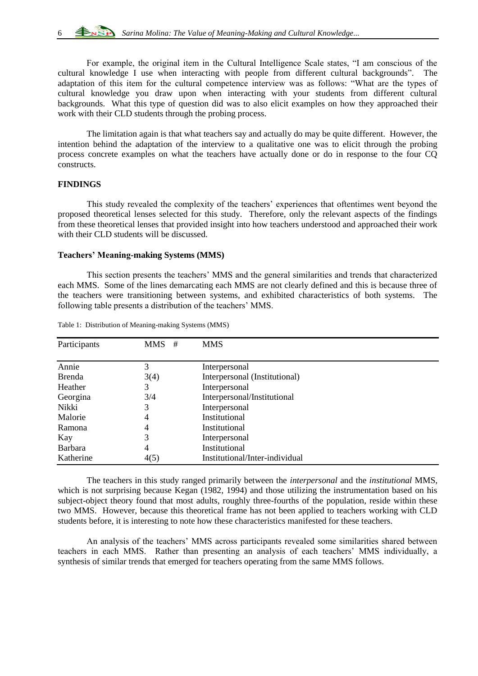For example, the original item in the Cultural Intelligence Scale states, "I am conscious of the cultural knowledge I use when interacting with people from different cultural backgrounds". The adaptation of this item for the cultural competence interview was as follows: "What are the types of cultural knowledge you draw upon when interacting with your students from different cultural backgrounds. What this type of question did was to also elicit examples on how they approached their work with their CLD students through the probing process.

The limitation again is that what teachers say and actually do may be quite different. However, the intention behind the adaptation of the interview to a qualitative one was to elicit through the probing process concrete examples on what the teachers have actually done or do in response to the four CQ constructs.

# **FINDINGS**

This study revealed the complexity of the teachers' experiences that oftentimes went beyond the proposed theoretical lenses selected for this study. Therefore, only the relevant aspects of the findings from these theoretical lenses that provided insight into how teachers understood and approached their work with their CLD students will be discussed.

# **Teachers' Meaning-making Systems (MMS)**

This section presents the teachers' MMS and the general similarities and trends that characterized each MMS. Some of the lines demarcating each MMS are not clearly defined and this is because three of the teachers were transitioning between systems, and exhibited characteristics of both systems. The following table presents a distribution of the teachers' MMS.

| Participants   | $MMS$ # | <b>MMS</b>                     |  |
|----------------|---------|--------------------------------|--|
| Annie          | 3       | Interpersonal                  |  |
| <b>Brenda</b>  | 3(4)    | Interpersonal (Institutional)  |  |
| Heather        | 3       | Interpersonal                  |  |
| Georgina       | 3/4     | Interpersonal/Institutional    |  |
| Nikki          | 3       | Interpersonal                  |  |
| Malorie        | 4       | Institutional                  |  |
| Ramona         | 4       | Institutional                  |  |
| Kay            | 3       | Interpersonal                  |  |
| <b>Barbara</b> | 4       | Institutional                  |  |
| Katherine      | 4(5)    | Institutional/Inter-individual |  |

Table 1: Distribution of Meaning-making Systems (MMS)

The teachers in this study ranged primarily between the *interpersonal* and the *institutional* MMS, which is not surprising because Kegan (1982, 1994) and those utilizing the instrumentation based on his subject-object theory found that most adults, roughly three-fourths of the population, reside within these two MMS. However, because this theoretical frame has not been applied to teachers working with CLD students before, it is interesting to note how these characteristics manifested for these teachers.

An analysis of the teachers' MMS across participants revealed some similarities shared between teachers in each MMS. Rather than presenting an analysis of each teachers' MMS individually, a synthesis of similar trends that emerged for teachers operating from the same MMS follows.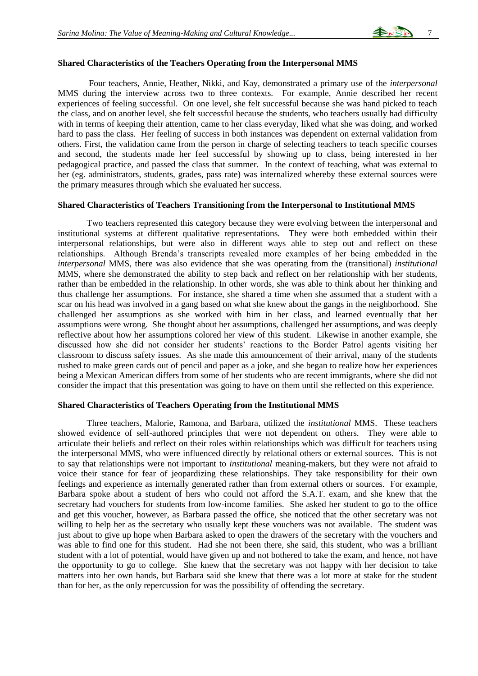

#### **Shared Characteristics of the Teachers Operating from the Interpersonal MMS**

Four teachers, Annie, Heather, Nikki, and Kay, demonstrated a primary use of the *interpersonal* MMS during the interview across two to three contexts. For example, Annie described her recent experiences of feeling successful. On one level, she felt successful because she was hand picked to teach the class, and on another level, she felt successful because the students, who teachers usually had difficulty with in terms of keeping their attention, came to her class everyday, liked what she was doing, and worked hard to pass the class. Her feeling of success in both instances was dependent on external validation from others. First, the validation came from the person in charge of selecting teachers to teach specific courses and second, the students made her feel successful by showing up to class, being interested in her pedagogical practice, and passed the class that summer. In the context of teaching, what was external to her (eg. administrators, students, grades, pass rate) was internalized whereby these external sources were the primary measures through which she evaluated her success.

#### **Shared Characteristics of Teachers Transitioning from the Interpersonal to Institutional MMS**

Two teachers represented this category because they were evolving between the interpersonal and institutional systems at different qualitative representations. They were both embedded within their interpersonal relationships, but were also in different ways able to step out and reflect on these relationships. Although Brenda's transcripts revealed more examples of her being embedded in the *interpersonal* MMS, there was also evidence that she was operating from the (transitional) *institutional* MMS, where she demonstrated the ability to step back and reflect on her relationship with her students, rather than be embedded in the relationship. In other words, she was able to think about her thinking and thus challenge her assumptions. For instance, she shared a time when she assumed that a student with a scar on his head was involved in a gang based on what she knew about the gangs in the neighborhood. She challenged her assumptions as she worked with him in her class, and learned eventually that her assumptions were wrong. She thought about her assumptions, challenged her assumptions, and was deeply reflective about how her assumptions colored her view of this student. Likewise in another example, she discussed how she did not consider her students' reactions to the Border Patrol agents visiting her classroom to discuss safety issues. As she made this announcement of their arrival, many of the students rushed to make green cards out of pencil and paper as a joke, and she began to realize how her experiences being a Mexican American differs from some of her students who are recent immigrants, where she did not consider the impact that this presentation was going to have on them until she reflected on this experience.

#### **Shared Characteristics of Teachers Operating from the Institutional MMS**

Three teachers, Malorie, Ramona, and Barbara, utilized the *institutional* MMS. These teachers showed evidence of self-authored principles that were not dependent on others. They were able to articulate their beliefs and reflect on their roles within relationships which was difficult for teachers using the interpersonal MMS, who were influenced directly by relational others or external sources. This is not to say that relationships were not important to *institutional* meaning-makers, but they were not afraid to voice their stance for fear of jeopardizing these relationships. They take responsibility for their own feelings and experience as internally generated rather than from external others or sources. For example, Barbara spoke about a student of hers who could not afford the S.A.T. exam, and she knew that the secretary had vouchers for students from low-income families. She asked her student to go to the office and get this voucher, however, as Barbara passed the office, she noticed that the other secretary was not willing to help her as the secretary who usually kept these vouchers was not available. The student was just about to give up hope when Barbara asked to open the drawers of the secretary with the vouchers and was able to find one for this student. Had she not been there, she said, this student, who was a brilliant student with a lot of potential, would have given up and not bothered to take the exam, and hence, not have the opportunity to go to college. She knew that the secretary was not happy with her decision to take matters into her own hands, but Barbara said she knew that there was a lot more at stake for the student than for her, as the only repercussion for was the possibility of offending the secretary.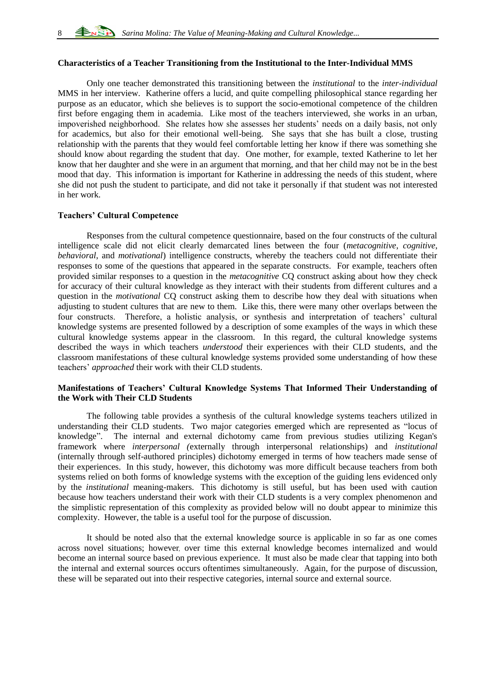# **Characteristics of a Teacher Transitioning from the Institutional to the Inter-Individual MMS**

Only one teacher demonstrated this transitioning between the *institutional* to the *inter-individual* MMS in her interview. Katherine offers a lucid, and quite compelling philosophical stance regarding her purpose as an educator, which she believes is to support the socio-emotional competence of the children first before engaging them in academia. Like most of the teachers interviewed, she works in an urban, impoverished neighborhood. She relates how she assesses her students' needs on a daily basis, not only for academics, but also for their emotional well-being. She says that she has built a close, trusting relationship with the parents that they would feel comfortable letting her know if there was something she should know about regarding the student that day. One mother, for example, texted Katherine to let her know that her daughter and she were in an argument that morning, and that her child may not be in the best mood that day. This information is important for Katherine in addressing the needs of this student, where she did not push the student to participate, and did not take it personally if that student was not interested in her work.

# **Teachers' Cultural Competence**

Responses from the cultural competence questionnaire, based on the four constructs of the cultural intelligence scale did not elicit clearly demarcated lines between the four (*metacognitive*, *cognitive*, *behavioral*, and *motivational*) intelligence constructs, whereby the teachers could not differentiate their responses to some of the questions that appeared in the separate constructs. For example, teachers often provided similar responses to a question in the *metacognitive* CQ construct asking about how they check for accuracy of their cultural knowledge as they interact with their students from different cultures and a question in the *motivational* CQ construct asking them to describe how they deal with situations when adjusting to student cultures that are new to them. Like this, there were many other overlaps between the four constructs. Therefore, a holistic analysis, or synthesis and interpretation of teachers' cultural knowledge systems are presented followed by a description of some examples of the ways in which these cultural knowledge systems appear in the classroom. In this regard, the cultural knowledge systems described the ways in which teachers *understood* their experiences with their CLD students, and the classroom manifestations of these cultural knowledge systems provided some understanding of how these teachers' *approached* their work with their CLD students.

# **Manifestations of Teachers' Cultural Knowledge Systems That Informed Their Understanding of the Work with Their CLD Students**

The following table provides a synthesis of the cultural knowledge systems teachers utilized in understanding their CLD students. Two major categories emerged which are represented as "locus of knowledge". The internal and external dichotomy came from previous studies utilizing Kegan's framework where *interpersonal (*externally through interpersonal relationships) and *institutional*  (internally through self-authored principles) dichotomy emerged in terms of how teachers made sense of their experiences. In this study, however, this dichotomy was more difficult because teachers from both systems relied on both forms of knowledge systems with the exception of the guiding lens evidenced only by the *institutional* meaning-makers. This dichotomy is still useful, but has been used with caution because how teachers understand their work with their CLD students is a very complex phenomenon and the simplistic representation of this complexity as provided below will no doubt appear to minimize this complexity. However, the table is a useful tool for the purpose of discussion.

It should be noted also that the external knowledge source is applicable in so far as one comes across novel situations; however, over time this external knowledge becomes internalized and would become an internal source based on previous experience. It must also be made clear that tapping into both the internal and external sources occurs oftentimes simultaneously. Again, for the purpose of discussion, these will be separated out into their respective categories, internal source and external source.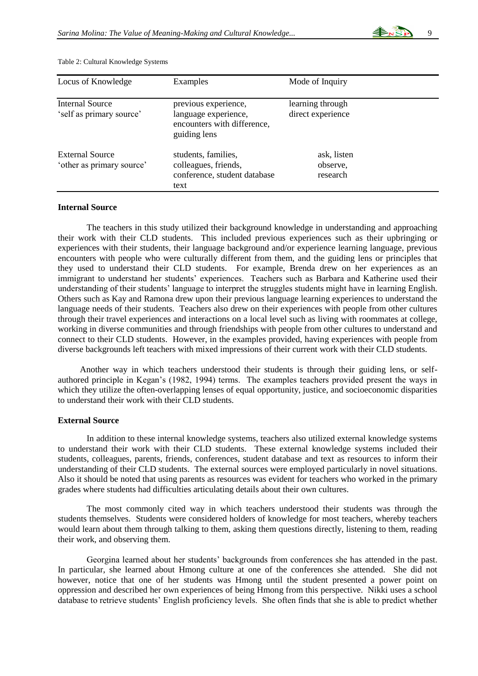

| Locus of Knowledge                                  | Examples                                                                                    | Mode of Inquiry                       |
|-----------------------------------------------------|---------------------------------------------------------------------------------------------|---------------------------------------|
| <b>Internal Source</b><br>'self as primary source'  | previous experience,<br>language experience,<br>encounters with difference,<br>guiding lens | learning through<br>direct experience |
| <b>External Source</b><br>'other as primary source' | students, families,<br>colleagues, friends,<br>conference, student database<br>text         | ask, listen<br>observe,<br>research   |

Table 2: Cultural Knowledge Systems

# **Internal Source**

The teachers in this study utilized their background knowledge in understanding and approaching their work with their CLD students. This included previous experiences such as their upbringing or experiences with their students, their language background and/or experience learning language, previous encounters with people who were culturally different from them, and the guiding lens or principles that they used to understand their CLD students.For example, Brenda drew on her experiences as an immigrant to understand her students' experiences. Teachers such as Barbara and Katherine used their understanding of their students' language to interpret the struggles students might have in learning English. Others such as Kay and Ramona drew upon their previous language learning experiences to understand the language needs of their students. Teachers also drew on their experiences with people from other cultures through their travel experiences and interactions on a local level such as living with roommates at college, working in diverse communities and through friendships with people from other cultures to understand and connect to their CLD students. However, in the examples provided, having experiences with people from diverse backgrounds left teachers with mixed impressions of their current work with their CLD students.

Another way in which teachers understood their students is through their guiding lens, or selfauthored principle in Kegan's (1982, 1994) terms. The examples teachers provided present the ways in which they utilize the often-overlapping lenses of equal opportunity, justice, and socioeconomic disparities to understand their work with their CLD students.

# **External Source**

In addition to these internal knowledge systems, teachers also utilized external knowledge systems to understand their work with their CLD students. These external knowledge systems included their students, colleagues, parents, friends, conferences, student database and text as resources to inform their understanding of their CLD students. The external sources were employed particularly in novel situations. Also it should be noted that using parents as resources was evident for teachers who worked in the primary grades where students had difficulties articulating details about their own cultures.

The most commonly cited way in which teachers understood their students was through the students themselves. Students were considered holders of knowledge for most teachers, whereby teachers would learn about them through talking to them, asking them questions directly, listening to them, reading their work, and observing them.

Georgina learned about her students' backgrounds from conferences she has attended in the past. In particular, she learned about Hmong culture at one of the conferences she attended. She did not however, notice that one of her students was Hmong until the student presented a power point on oppression and described her own experiences of being Hmong from this perspective. Nikki uses a school database to retrieve students' English proficiency levels. She often finds that she is able to predict whether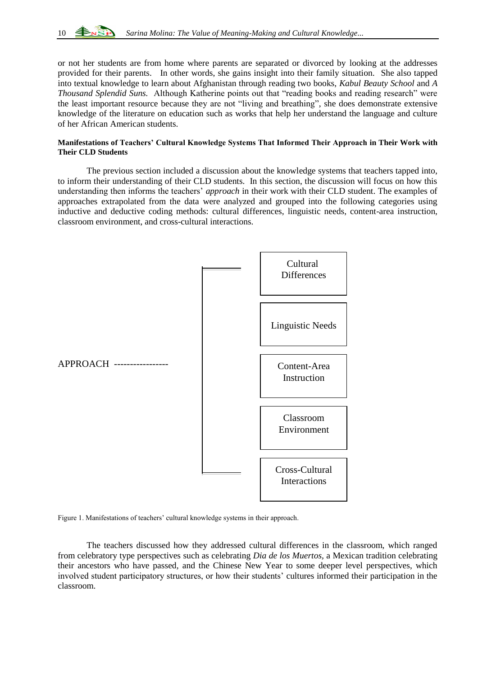

or not her students are from home where parents are separated or divorced by looking at the addresses provided for their parents. In other words, she gains insight into their family situation.She also tapped into textual knowledge to learn about Afghanistan through reading two books, *Kabul Beauty School* and *A Thousand Splendid Suns.* Although Katherine points out that "reading books and reading research" were the least important resource because they are not "living and breathing", she does demonstrate extensive knowledge of the literature on education such as works that help her understand the language and culture of her African American students.

# **Manifestations of Teachers' Cultural Knowledge Systems That Informed Their Approach in Their Work with Their CLD Students**

The previous section included a discussion about the knowledge systems that teachers tapped into, to inform their understanding of their CLD students. In this section, the discussion will focus on how this understanding then informs the teachers' *approach* in their work with their CLD student. The examples of approaches extrapolated from the data were analyzed and grouped into the following categories using inductive and deductive coding methods: cultural differences, linguistic needs, content-area instruction, classroom environment, and cross-cultural interactions.



Figure 1. Manifestations of teachers' cultural knowledge systems in their approach.

The teachers discussed how they addressed cultural differences in the classroom, which ranged from celebratory type perspectives such as celebrating *Dia de los Muertos,* a Mexican tradition celebrating their ancestors who have passed*,* and the Chinese New Year to some deeper level perspectives, which involved student participatory structures, or how their students' cultures informed their participation in the classroom.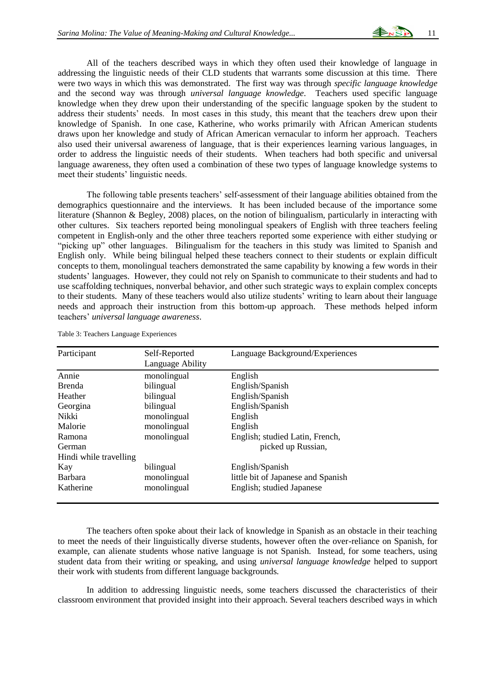All of the teachers described ways in which they often used their knowledge of language in addressing the linguistic needs of their CLD students that warrants some discussion at this time. There were two ways in which this was demonstrated. The first way was through *specific language knowledge* and the second way was through *universal language knowledge*. Teachers used specific language knowledge when they drew upon their understanding of the specific language spoken by the student to address their students' needs. In most cases in this study, this meant that the teachers drew upon their knowledge of Spanish. In one case, Katherine, who works primarily with African American students draws upon her knowledge and study of African American vernacular to inform her approach. Teachers also used their universal awareness of language, that is their experiences learning various languages, in order to address the linguistic needs of their students. When teachers had both specific and universal language awareness, they often used a combination of these two types of language knowledge systems to meet their students' linguistic needs.

The following table presents teachers' self-assessment of their language abilities obtained from the demographics questionnaire and the interviews. It has been included because of the importance some literature (Shannon & Begley, 2008) places, on the notion of bilingualism, particularly in interacting with other cultures. Six teachers reported being monolingual speakers of English with three teachers feeling competent in English-only and the other three teachers reported some experience with either studying or "picking up" other languages. Bilingualism for the teachers in this study was limited to Spanish and English only. While being bilingual helped these teachers connect to their students or explain difficult concepts to them, monolingual teachers demonstrated the same capability by knowing a few words in their students' languages. However, they could not rely on Spanish to communicate to their students and had to use scaffolding techniques, nonverbal behavior, and other such strategic ways to explain complex concepts to their students. Many of these teachers would also utilize students' writing to learn about their language needs and approach their instruction from this bottom-up approach. These methods helped inform teachers' *universal language awareness*.

| Participant            | Self-Reported<br>Language Ability | Language Background/Experiences    |
|------------------------|-----------------------------------|------------------------------------|
| Annie                  | monolingual                       | English                            |
| <b>Brenda</b>          | bilingual                         | English/Spanish                    |
| Heather                | bilingual                         | English/Spanish                    |
| Georgina               | bilingual                         | English/Spanish                    |
| Nikki                  | monolingual                       | English                            |
| Malorie                | monolingual                       | English                            |
| Ramona                 | monolingual                       | English; studied Latin, French,    |
| German                 | picked up Russian,                |                                    |
| Hindi while travelling |                                   |                                    |
| Kay                    | bilingual                         | English/Spanish                    |
| <b>Barbara</b>         | monolingual                       | little bit of Japanese and Spanish |
| Katherine              | monolingual                       | English; studied Japanese          |

Table 3: Teachers Language Experiences

The teachers often spoke about their lack of knowledge in Spanish as an obstacle in their teaching to meet the needs of their linguistically diverse students, however often the over-reliance on Spanish, for example, can alienate students whose native language is not Spanish. Instead, for some teachers, using student data from their writing or speaking, and using *universal language knowledge* helped to support their work with students from different language backgrounds.

In addition to addressing linguistic needs, some teachers discussed the characteristics of their classroom environment that provided insight into their approach. Several teachers described ways in which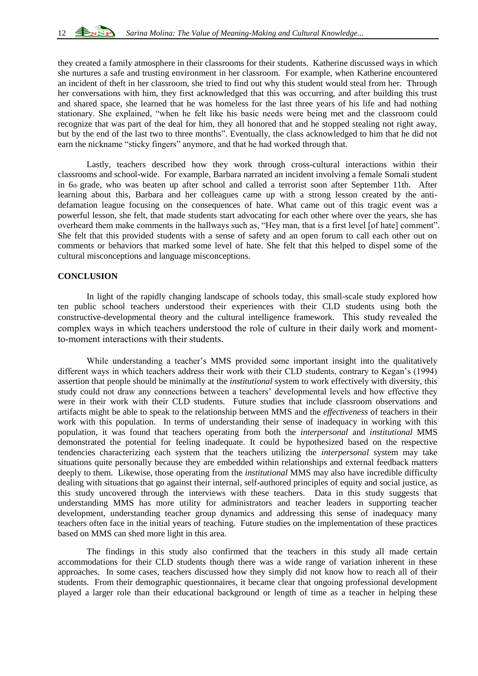they created a family atmosphere in their classrooms for their students. Katherine discussed ways in which she nurtures a safe and trusting environment in her classroom. For example, when Katherine encountered an incident of theft in her classroom, she tried to find out why this student would steal from her. Through her conversations with him, they first acknowledged that this was occurring, and after building this trust and shared space, she learned that he was homeless for the last three years of his life and had nothing stationary. She explained, "when he felt like his basic needs were being met and the classroom could recognize that was part of the deal for him, they all honored that and he stopped stealing not right away, but by the end of the last two to three months". Eventually, the class acknowledged to him that he did not earn the nickname "sticky fingers" anymore, and that he had worked through that.

Lastly, teachers described how they work through cross-cultural interactions within their classrooms and school-wide. For example, Barbara narrated an incident involving a female Somali student in 6th grade, who was beaten up after school and called a terrorist soon after September 11th. After learning about this, Barbara and her colleagues came up with a strong lesson created by the antidefamation league focusing on the consequences of hate. What came out of this tragic event was a powerful lesson, she felt, that made students start advocating for each other where over the years, she has overheard them make comments in the hallways such as, "Hey man, that is a first level [of hate] comment". She felt that this provided students with a sense of safety and an open forum to call each other out on comments or behaviors that marked some level of hate. She felt that this helped to dispel some of the cultural misconceptions and language misconceptions.

# **CONCLUSION**

In light of the rapidly changing landscape of schools today, this small-scale study explored how ten public school teachers understood their experiences with their CLD students using both the constructive-developmental theory and the cultural intelligence framework. This study revealed the complex ways in which teachers understood the role of culture in their daily work and momentto-moment interactions with their students.

While understanding a teacher's MMS provided some important insight into the qualitatively different ways in which teachers address their work with their CLD students, contrary to Kegan's (1994) assertion that people should be minimally at the *institutional* system to work effectively with diversity, this study could not draw any connections between a teachers' developmental levels and how effective they were in their work with their CLD students. Future studies that include classroom observations and artifacts might be able to speak to the relationship between MMS and the *effectiveness* of teachers in their work with this population. In terms of understanding their sense of inadequacy in working with this population, it was found that teachers operating from both the *interpersonal* and *institutional* MMS demonstrated the potential for feeling inadequate. It could be hypothesized based on the respective tendencies characterizing each system that the teachers utilizing the *interpersonal* system may take situations quite personally because they are embedded within relationships and external feedback matters deeply to them. Likewise, those operating from the *institutional* MMS may also have incredible difficulty dealing with situations that go against their internal, self-authored principles of equity and social justice, as this study uncovered through the interviews with these teachers. Data in this study suggests that understanding MMS has more utility for administrators and teacher leaders in supporting teacher development, understanding teacher group dynamics and addressing this sense of inadequacy many teachers often face in the initial years of teaching. Future studies on the implementation of these practices based on MMS can shed more light in this area.

The findings in this study also confirmed that the teachers in this study all made certain accommodations for their CLD students though there was a wide range of variation inherent in these approaches. In some cases, teachers discussed how they simply did not know how to reach all of their students. From their demographic questionnaires, it became clear that ongoing professional development played a larger role than their educational background or length of time as a teacher in helping these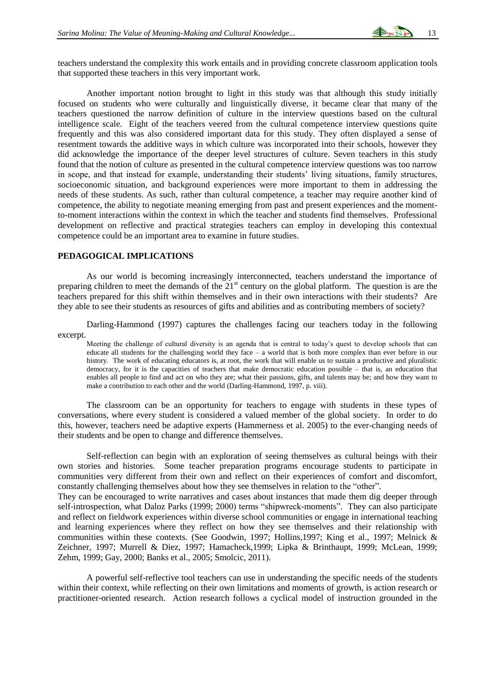teachers understand the complexity this work entails and in providing concrete classroom application tools that supported these teachers in this very important work.

Another important notion brought to light in this study was that although this study initially focused on students who were culturally and linguistically diverse, it became clear that many of the teachers questioned the narrow definition of culture in the interview questions based on the cultural intelligence scale. Eight of the teachers veered from the cultural competence interview questions quite frequently and this was also considered important data for this study. They often displayed a sense of resentment towards the additive ways in which culture was incorporated into their schools, however they did acknowledge the importance of the deeper level structures of culture. Seven teachers in this study found that the notion of culture as presented in the cultural competence interview questions was too narrow in scope, and that instead for example, understanding their students' living situations, family structures, socioeconomic situation, and background experiences were more important to them in addressing the needs of these students. As such, rather than cultural competence, a teacher may require another kind of competence, the ability to negotiate meaning emerging from past and present experiences and the momentto-moment interactions within the context in which the teacher and students find themselves. Professional development on reflective and practical strategies teachers can employ in developing this contextual competence could be an important area to examine in future studies.

# **PEDAGOGICAL IMPLICATIONS**

As our world is becoming increasingly interconnected, teachers understand the importance of preparing children to meet the demands of the  $21<sup>st</sup>$  century on the global platform. The question is are the teachers prepared for this shift within themselves and in their own interactions with their students? Are they able to see their students as resources of gifts and abilities and as contributing members of society?

Darling-Hammond (1997) captures the challenges facing our teachers today in the following excerpt.

Meeting the challenge of cultural diversity is an agenda that is central to today's quest to develop schools that can educate all students for the challenging world they face – a world that is both more complex than ever before in our history. The work of educating educators is, at root, the work that will enable us to sustain a productive and pluralistic democracy, for it is the capacities of teachers that make democratic education possible – that is, an education that enables all people to find and act on who they are; what their passions, gifts, and talents may be; and how they want to make a contribution to each other and the world (Darling-Hammond, 1997, p. viii).

The classroom can be an opportunity for teachers to engage with students in these types of conversations, where every student is considered a valued member of the global society. In order to do this, however, teachers need be adaptive experts (Hammerness et al. 2005) to the ever-changing needs of their students and be open to change and difference themselves.

Self-reflection can begin with an exploration of seeing themselves as cultural beings with their own stories and histories. Some teacher preparation programs encourage students to participate in communities very different from their own and reflect on their experiences of comfort and discomfort, constantly challenging themselves about how they see themselves in relation to the "other".

They can be encouraged to write narratives and cases about instances that made them dig deeper through self-introspection, what Daloz Parks (1999; 2000) terms "shipwreck-moments". They can also participate and reflect on fieldwork experiences within diverse school communities or engage in international teaching and learning experiences where they reflect on how they see themselves and their relationship with communities within these contexts. (See Goodwin, 1997; Hollins,1997; King et al., 1997; Melnick & Zeichner, 1997; Murrell & Diez, 1997; Hamacheck,1999; Lipka & Brinthaupt, 1999; McLean, 1999; Zehm, 1999; Gay, 2000; Banks et al., 2005; Smolcic, 2011).

A powerful self-reflective tool teachers can use in understanding the specific needs of the students within their context, while reflecting on their own limitations and moments of growth, is action research or practitioner-oriented research. Action research follows a cyclical model of instruction grounded in the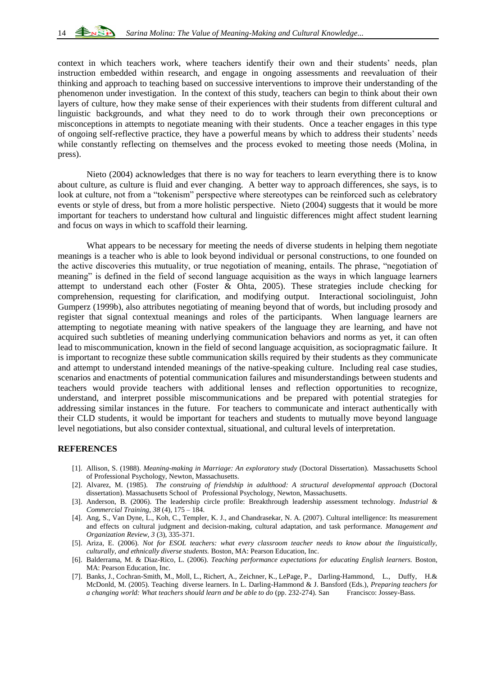context in which teachers work, where teachers identify their own and their students' needs, plan instruction embedded within research, and engage in ongoing assessments and reevaluation of their thinking and approach to teaching based on successive interventions to improve their understanding of the phenomenon under investigation. In the context of this study, teachers can begin to think about their own layers of culture, how they make sense of their experiences with their students from different cultural and linguistic backgrounds, and what they need to do to work through their own preconceptions or misconceptions in attempts to negotiate meaning with their students. Once a teacher engages in this type of ongoing self-reflective practice, they have a powerful means by which to address their students' needs while constantly reflecting on themselves and the process evoked to meeting those needs (Molina, in press).

Nieto (2004) acknowledges that there is no way for teachers to learn everything there is to know about culture, as culture is fluid and ever changing. A better way to approach differences, she says, is to look at culture, not from a "tokenism" perspective where stereotypes can be reinforced such as celebratory events or style of dress, but from a more holistic perspective. Nieto (2004) suggests that it would be more important for teachers to understand how cultural and linguistic differences might affect student learning and focus on ways in which to scaffold their learning.

What appears to be necessary for meeting the needs of diverse students in helping them negotiate meanings is a teacher who is able to look beyond individual or personal constructions, to one founded on the active discoveries this mutuality, or true negotiation of meaning, entails. The phrase, "negotiation of meaning" is defined in the field of second language acquisition as the ways in which language learners attempt to understand each other (Foster & Ohta, 2005). These strategies include checking for comprehension, requesting for clarification, and modifying output. Interactional sociolinguist, John Gumperz (1999b), also attributes negotiating of meaning beyond that of words, but including prosody and register that signal contextual meanings and roles of the participants. When language learners are attempting to negotiate meaning with native speakers of the language they are learning, and have not acquired such subtleties of meaning underlying communication behaviors and norms as yet, it can often lead to miscommunication, known in the field of second language acquisition, as sociopragmatic failure. It is important to recognize these subtle communication skills required by their students as they communicate and attempt to understand intended meanings of the native-speaking culture. Including real case studies, scenarios and enactments of potential communication failures and misunderstandings between students and teachers would provide teachers with additional lenses and reflection opportunities to recognize, understand, and interpret possible miscommunications and be prepared with potential strategies for addressing similar instances in the future. For teachers to communicate and interact authentically with their CLD students, it would be important for teachers and students to mutually move beyond language level negotiations, but also consider contextual, situational, and cultural levels of interpretation.

# **REFERENCES**

- [1]. Allison, S. (1988). *Meaning-making in Marriage: An exploratory study* (Doctoral Dissertation). Massachusetts School of Professional Psychology, Newton, Massachusetts.
- [2]. Alvarez, M. (1985). *The construing of friendship in adulthood: A structural developmental approach* (Doctoral dissertation). Massachusetts School of Professional Psychology, Newton, Massachusetts.
- [3]. Anderson, B. (2006). The leadership circle profile: Breakthrough leadership assessment technology*. Industrial & Commercial Training*, *38* (4), 175 – 184.
- [4]. Ang, S., Van Dyne, L., Koh, C., Templer, K. J., and Chandrasekar, N. A. (2007). Cultural intelligence: Its measurement and effects on cultural judgment and decision-making, cultural adaptation, and task performance. *Management and Organization Review, 3* (3), 335-371.
- [5]. Ariza, E. (2006). *Not for ESOL teachers: what every classroom teacher needs to know about the linguistically, culturally, and ethnically diverse students.* Boston, MA: Pearson Education, Inc.
- [6]. Balderrama, M. & Diaz-Rico, L. (2006). *Teaching performance expectations for educating English learners.* Boston, MA: Pearson Education, Inc.
- [7]. Banks, J., Cochran-Smith, M., Moll, L., Richert, A., Zeichner, K., LePage, P., Darling-Hammond, L., Duffy, H.& McDonld, M. (2005). Teaching diverse learners. In L. Darling-Hammond & J. Bansford (Eds.), *Preparing teachers for a changing world: What teachers should learn and be able to do* (pp. 232-274)*.* San Francisco: Jossey-Bass.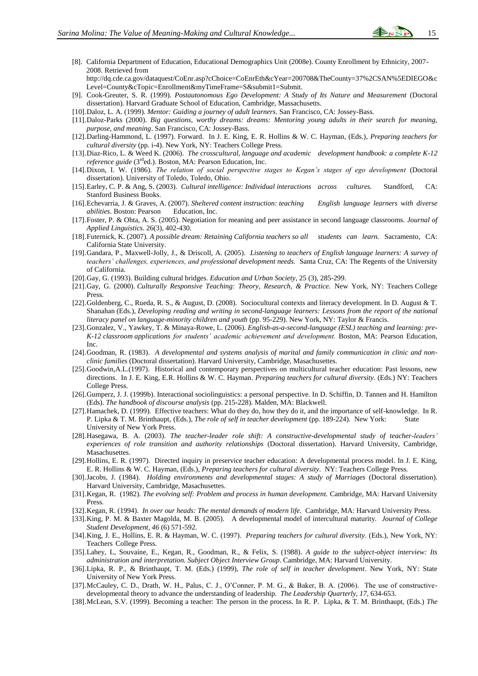- [8]. California Department of Education, Educational Demographics Unit (2008e). County Enrollment by Ethnicity, 2007- 2008. Retrieved from http://dq.cde.ca.gov/dataquest/CoEnr.asp?cChoice=CoEnrEth&cYear=200708&TheCounty=37%2CSAN%5EDIEGO&c
- Level=County&cTopic=Enrollment&myTimeFrame=S&submit1=Submit.
- [9]. Cook-Greuter, S. R. (1999). *Postautonomous Ego Development: A Study of Its Nature and Measurement* (Doctoral dissertation). Harvard Graduate School of Education, Cambridge, Massachusetts.
- [10].Daloz, L. A. (1999). *Mentor: Guiding a journey of adult learners*. San Francisco, CA: Jossey-Bass.
- [11].Daloz-Parks (2000). *Big questions, worthy dreams: dreams: Mentoring young adults in their search for meaning, purpose, and meaning*. San Francisco, CA: Jossey-Bass.
- [12].Darling-Hammond, L. (1997). Forward*.* In J. E. King, E. R. Hollins & W. C. Hayman, (Eds.), *Preparing teachers for cultural diversity* (pp. i-4). New York, NY: Teachers College Press.
- [13].Diaz-Rico, L. & Weed K. (2006). *The crosscultural, language and academic development handbook: a complete K-12 reference guide* (3<sup>rd</sup>ed.). Boston, MA: Pearson Education, Inc.
- [14].Dixon, I. W. (1986). *The relation of social perspective stages to Kegan's stages of ego development* (Doctoral dissertation). University of Toledo, Toledo, Ohio.
- [15].Earley, C. P. & Ang, S. (2003). *Cultural intelligence: Individual interactions across cultures.* Standford, CA: Stanford Business Books.
- [16].Echevarria, J. & Graves, A. (2007). *Sheltered content instruction: teaching English language learners with diverse abilities*. Boston: Pearson Education, Inc.
- [17].Foster, P. & Ohta, A. S. (2005). Negotiation for meaning and peer assistance in second language classrooms. *Journal of Applied Linguistics*. 26(3), 402-430.
- [18].Futernick, K. (2007). *A possible dream: Retaining California teachers so all students can learn.* Sacramento, CA: California State University.
- [19].Gandara, P., Maxwell-Jolly, J., & Driscoll, A. (2005). *Listening to teachers of English language learners: A survey of teachers' challenges, experiences, and professional development needs.* Santa Cruz, CA: The Regents of the University of California.
- [20].Gay, G. (1993). Building cultural bridges. *Education and Urban Society*, 25 (3), 285-299.
- [21].Gay, G. (2000). *Culturally Responsive Teaching: Theory, Research, & Practice.* New York, NY: Teachers College Press.
- [22].Goldenberg, C., Rueda, R. S., & August, D. (2008). Sociocultural contexts and literacy development. In D. August & T. Shanahan (Eds.), *Developing reading and writing in second-language learners: Lessons from the report of the national literacy panel on language-minority children and youth* (pp. 95-229)*.* New York, NY: Taylor & Francis.
- [23].Gonzalez, V., Yawkey, T. & Minaya-Rowe, L. (2006). *English-as-a-second-language (ESL) teaching and learning: pre-K-12 classroom applications for students' academic achievement and development.* Boston, MA: Pearson Education, Inc.
- [24].Goodman, R. (1983). *A developmental and systems analysis of marital and family communication in clinic and nonclinic families* (Doctoral dissertation). Harvard University, Cambridge, Masachusettes.
- [25].Goodwin,A.L.(1997). Historical and contemporary perspectives on multicultural teacher education: Past lessons, new directions. In J. E. King, E.R. Hollins & W. C. Hayman. *Preparing teachers for cultural diversity*. (Eds.) NY: Teachers College Press.
- [26].Gumperz, J. J. (1999b). Interactional sociolinguistics: a personal perspective. In D. Schiffin, D. Tannen and H. Hamilton (Eds). *The handbook of discourse analysis* (pp. 215-228). Malden, MA: Blackwell.
- [27].Hamachek, D. (1999). Effective teachers: What do they do, how they do it, and the importance of self-knowledge. In R. P. Lipka & T. M. Brinthaupt, (Eds.), *The role of self in teacher development* (pp. 189-224)*.* New York: State University of New York Press.
- [28].Hasegawa, B. A. (2003). *The teacher-leader role shift: A constructive-developmental study of teacher-leaders' experiences of role transition and authority relationships* (Doctoral dissertation). Harvard University, Cambridge, Masachusettes.
- [29].Hollins, E. R. (1997). Directed inquiry in preservice teacher education: A developmental process model. In J. E. King, E. R. Hollins & W. C. Hayman, (Eds.), *Preparing teachers for cultural diversity*. NY: Teachers College Press.
- [30].Jacobs, J. (1984). *Holding environments and developmental stages: A study of Marriages* (Doctoral dissertation). Harvard University, Cambridge, Masachusettes.
- [31].Kegan, R. (1982). *The evolving self: Problem and process in human development.* Cambridge, MA: Harvard University Press.
- [32].Kegan, R. (1994). *In over our heads: The mental demands of modern life.* Cambridge, MA: Harvard University Press.
- [33].King, P. M. & Baxter Magolda, M. B. (2005). A developmental model of intercultural maturity. *Journal of College Student Development*, *46* (6) 571-592.
- [34].King, J. E., Hollins, E. R. & Hayman, W. C. (1997). *Preparing teachers for cultural diversity*. (Eds.), New York, NY: Teachers College Press.
- [35].Lahey, L, Souvaine, E., Kegan, R., Goodman, R., & Felix, S. (1988). *A guide to the subject-object interview: Its administration and interpretation. Subject Object Interview Group*. Cambridge, MA: Harvard University.
- [36].Lipka, R. P., & Brinthaupt, T. M. (Eds.) (1999), *The role of self in teacher development*. New York, NY: State University of New York Press.
- [37].McCauley, C. D., Drath, W. H., Palus, C. J., O'Conner, P. M. G., & Baker, B. A. (2006). The use of constructivedevelopmental theory to advance the understanding of leadership. *The Leadership Quarterly, 17,* 634-653.
- [38].McLean, S.V. (1999). Becoming a teacher: The person in the process. In R. P. Lipka, & T. M. Brinthaupt, (Eds.) *The*